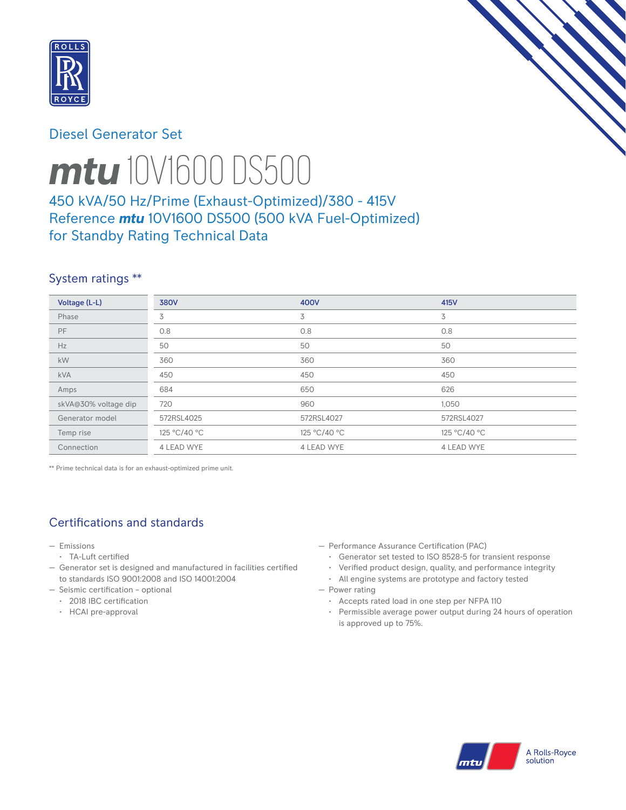

# Diesel Generator Set



# *mtu* 10V1600 DS500

# 450 kVA/50 Hz/Prime (Exhaust-Optimized)/380 - 415V Reference *mtu* 10V1600 DS500 (500 kVA Fuel-Optimized) for Standby Rating Technical Data

## System ratings \*\*

| Voltage (L-L)        | <b>380V</b>       | 400V              | 415V         |
|----------------------|-------------------|-------------------|--------------|
| Phase                | 3                 | 3                 | 3            |
| PF.                  | 0.8               | 0.8               | 0.8          |
| Hz                   | 50                | 50                | 50           |
| kW                   | 360               | 360               | 360          |
| <b>kVA</b>           | 450               | 450               | 450          |
| Amps                 | 684               | 650               | 626          |
| skVA@30% voltage dip | 720               | 960               | 1,050        |
| Generator model      | 572RSL4025        | 572RSL4027        | 572RSL4027   |
| Temp rise            | 125 °C/40 °C      | 125 °C/40 °C      | 125 °C/40 °C |
| Connection           | <b>4 LEAD WYE</b> | <b>4 LEAD WYE</b> | 4 LEAD WYE   |

\*\* Prime technical data is for an exhaust-optimized prime unit.

# Certifications and standards

- Emissions
- TA-Luft certified
- Generator set is designed and manufactured in facilities certified to standards ISO 9001:2008 and ISO 14001:2004
- Seismic certification optional
- 2018 IBC certification
- HCAI pre-approval
- Performance Assurance Certification (PAC)
	- Generator set tested to ISO 8528-5 for transient response
	- Verified product design, quality, and performance integrity
	- All engine systems are prototype and factory tested
- Power rating
	- Accepts rated load in one step per NFPA 110
	- Permissible average power output during 24 hours of operation is approved up to 75%.

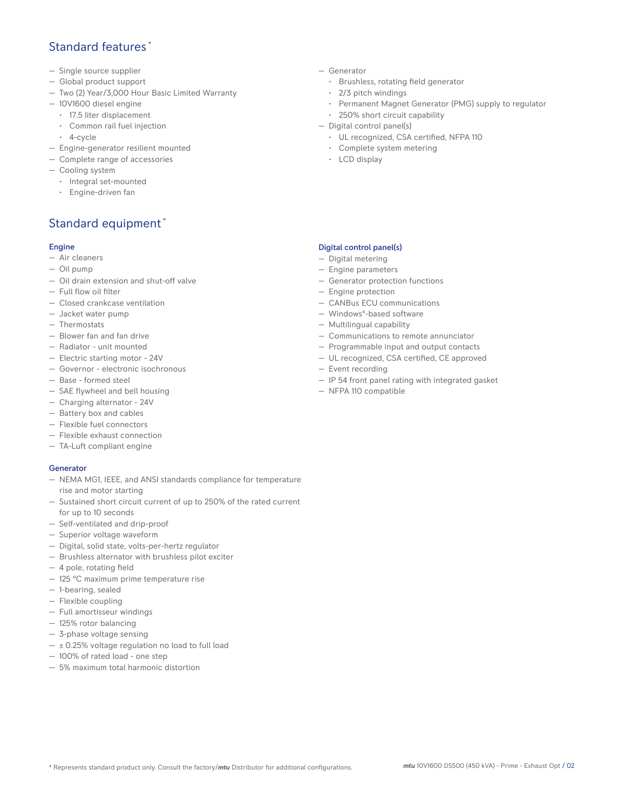## Standard features \*

- Single source supplier
- Global product support
- Two (2) Year/3,000 Hour Basic Limited Warranty
- 10V1600 diesel engine
	- 17.5 liter displacement
	- Common rail fuel injection
	- 4-cycle
- Engine-generator resilient mounted
- Complete range of accessories
- Cooling system
- Integral set-mounted
	- Engine-driven fan

# Standard equipment \*

## Engine

- Air cleaners
- Oil pump
- Oil drain extension and shut-off valve
- Full flow oil filter
- Closed crankcase ventilation
- Jacket water pump
- Thermostats
- Blower fan and fan drive
- Radiator unit mounted
- Electric starting motor 24V
- Governor electronic isochronous
- Base formed steel
- SAE flywheel and bell housing
- Charging alternator 24V
- Battery box and cables
- Flexible fuel connectors
- Flexible exhaust connection
- TA-Luft compliant engine

## **Generator**

- NEMA MG1, IEEE, and ANSI standards compliance for temperature rise and motor starting
- Sustained short circuit current of up to 250% of the rated current for up to 10 seconds
- Self-ventilated and drip-proof
- Superior voltage waveform
- Digital, solid state, volts-per-hertz regulator
- Brushless alternator with brushless pilot exciter
- 4 pole, rotating field
- 125 °C maximum prime temperature rise
- 1-bearing, sealed
- Flexible coupling
- Full amortisseur windings
- 125% rotor balancing
- 3-phase voltage sensing
- $\pm$  0.25% voltage regulation no load to full load
- 100% of rated load one step
- 5% maximum total harmonic distortion
- Generator
	- Brushless, rotating field generator
	- 2/3 pitch windings
	- Permanent Magnet Generator (PMG) supply to regulator
	- 250% short circuit capability
- Digital control panel(s)
	- UL recognized, CSA certified, NFPA 110
	- Complete system metering
	- LCD display

## Digital control panel(s)

- Digital metering
- Engine parameters
- Generator protection functions
- Engine protection
- CANBus ECU communications
- Windows®-based software
- Multilingual capability
- Communications to remote annunciator
- Programmable input and output contacts
- UL recognized, CSA certified, CE approved
- Event recording
- IP 54 front panel rating with integrated gasket
- NFPA 110 compatible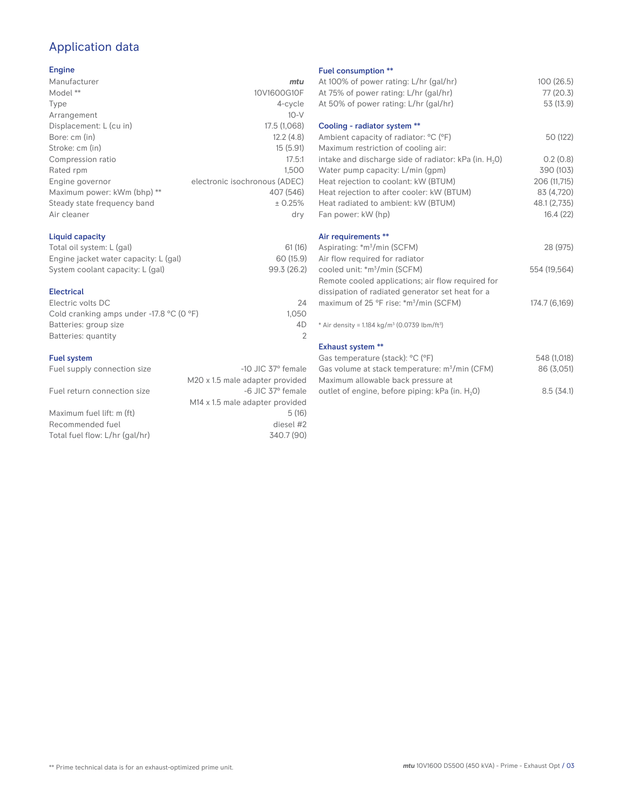# Application data

## Engine

| Manufacturer                | mtu                           |
|-----------------------------|-------------------------------|
| Model **                    | 10V1600G10F                   |
| Type                        | 4-cycle                       |
| Arrangement                 | $10-V$                        |
| Displacement: L (cu in)     | 17.5 (1,068)                  |
| Bore: cm (in)               | 12.2(4.8)                     |
| Stroke: cm (in)             | 15(5.91)                      |
| Compression ratio           | 17.5:1                        |
| Rated rpm                   | 1.500                         |
| Engine governor             | electronic isochronous (ADEC) |
| Maximum power: kWm (bhp) ** | 407 (546)                     |
| Steady state frequency band | ± 0.25%                       |
| Air cleaner                 | dry                           |
|                             |                               |

## Liquid capacity

| Total oil system: L (gal)             | 61(16)      |
|---------------------------------------|-------------|
| Engine jacket water capacity: L (gal) | 60 (15.9)   |
| System coolant capacity: L (gal)      | 99.3 (26.2) |

#### Electrical

| 24    |
|-------|
| 1.050 |
| 4D.   |
|       |
|       |

#### Fuel system

| Fuel supply connection size    | $-10$ JIC 37 $\degree$ female               |
|--------------------------------|---------------------------------------------|
|                                | M20 x 1.5 male adapter provided             |
| Fuel return connection size    | -6 JIC 37° female                           |
|                                | M <sub>14</sub> x 1.5 male adapter provided |
| Maximum fuel lift: m (ft)      | 5(16)                                       |
| Recommended fuel               | diesel #2                                   |
| Total fuel flow: L/hr (gal/hr) | 340.7 (90)                                  |
|                                |                                             |

#### Fuel consumption \*\*

| r det consumption                                                    |               |
|----------------------------------------------------------------------|---------------|
| At 100% of power rating: L/hr (gal/hr)                               | 100(26.5)     |
| At 75% of power rating: L/hr (gal/hr)                                | 77(20.3)      |
| At 50% of power rating: L/hr (gal/hr)                                | 53 (13.9)     |
| Cooling - radiator system **                                         |               |
| Ambient capacity of radiator: °C (°F)                                | 50 (122)      |
|                                                                      |               |
| Maximum restriction of cooling air:                                  |               |
| intake and discharge side of radiator: kPa (in. H <sub>2</sub> O)    | 0.2(0.8)      |
| Water pump capacity: L/min (gpm)                                     | 390 (103)     |
| Heat rejection to coolant: kW (BTUM)                                 | 206 (11,715)  |
| Heat rejection to after cooler: kW (BTUM)                            | 83 (4,720)    |
| Heat radiated to ambient: kW (BTUM)                                  | 48.1 (2,735)  |
| Fan power: kW (hp)                                                   | 16.4(22)      |
| Air requirements **                                                  |               |
| Aspirating: *m <sup>3</sup> /min (SCFM)                              | 28 (975)      |
|                                                                      |               |
| Air flow required for radiator                                       |               |
| cooled unit: *m <sup>3</sup> /min (SCFM)                             | 554 (19,564)  |
| Remote cooled applications; air flow required for                    |               |
| dissipation of radiated generator set heat for a                     |               |
| maximum of 25 °F rise: *m <sup>3</sup> /min (SCFM)                   | 174.7 (6,169) |
| * Air density = $1.184 \text{ kg/m}^3$ (0.0739 lbm/ft <sup>3</sup> ) |               |
|                                                                      |               |
| <b>Exhaust system **</b>                                             |               |
| Gas temperature (stack): °C (°F)                                     | 548 (1,018)   |
| Gas volume at stack temperature: m <sup>3</sup> /min (CFM)           | 86 (3,051)    |
|                                                                      |               |

| $\sigma$ ds temperature (stack). $\sigma$ ( $\sigma$ )      | UHO (1,U10 |
|-------------------------------------------------------------|------------|
| Gas volume at stack temperature: m <sup>3</sup> /min (CFM)  | 86 (3,051) |
| Maximum allowable back pressure at                          |            |
| outlet of engine, before piping: kPa (in. H <sub>2</sub> O) | 8.5(34.1)  |